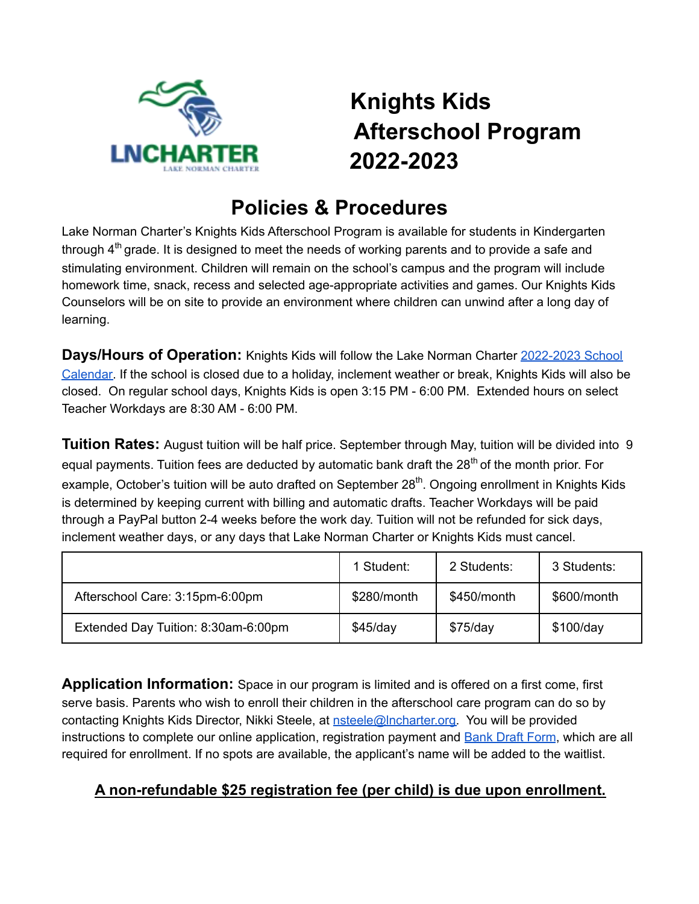

## **Knights Kids Afterschool Program 2022-2023**

## **Policies & Procedures**

Lake Norman Charter's Knights Kids Afterschool Program is available for students in Kindergarten through  $4^{\text{th}}$  grade. It is designed to meet the needs of working parents and to provide a safe and stimulating environment. Children will remain on the school's campus and the program will include homework time, snack, recess and selected age-appropriate activities and games. Our Knights Kids Counselors will be on site to provide an environment where children can unwind after a long day of learning.

**Days/Hours of Operation:** Knights Kids will follow the Lake Norman Charter [2022-2023](https://www.lncharter.org/cms/lib/NC02225560/Centricity/Domain/4/2022-2023_SchoolYearCalendar.pdf) School [Calendar.](https://www.lncharter.org/cms/lib/NC02225560/Centricity/Domain/4/2022-2023_SchoolYearCalendar.pdf) If the school is closed due to a holiday, inclement weather or break, Knights Kids will also be closed. On regular school days, Knights Kids is open 3:15 PM - 6:00 PM. Extended hours on select Teacher Workdays are 8:30 AM - 6:00 PM.

**Tuition Rates:** August tuition will be half price. September through May, tuition will be divided into 9 equal payments. Tuition fees are deducted by automatic bank draft the 28<sup>th</sup> of the month prior. For example, October's tuition will be auto drafted on September 28<sup>th</sup>. Ongoing enrollment in Knights Kids is determined by keeping current with billing and automatic drafts. Teacher Workdays will be paid through a PayPal button 2-4 weeks before the work day. Tuition will not be refunded for sick days, inclement weather days, or any days that Lake Norman Charter or Knights Kids must cancel.

|                                     | 1 Student:  | 2 Students: | 3 Students: |
|-------------------------------------|-------------|-------------|-------------|
| Afterschool Care: 3:15pm-6:00pm     | \$280/month | \$450/month | \$600/month |
| Extended Day Tuition: 8:30am-6:00pm | $$45$ /day  | $$75$ /day  | \$100/day   |

**Application Information:** Space in our program is limited and is offered on a first come, first serve basis. Parents who wish to enroll their children in the afterschool care program can do so by contacting Knights Kids Director, Nikki Steele, at [nsteele@lncharter.org.](mailto:nsteele@lncharter.org) You will be provided instructions to complete our online application, registration payment and Bank Draft [Form](https://www.lncharter.org/cms/lib/NC02225560/Centricity/Domain/302/Knights%20Kids%20Reccurring%20Payment%20Form%202018-2019.pdf), which are all required for enrollment. If no spots are available, the applicant's name will be added to the waitlist.

## **A non-refundable \$25 registration fee (per child) is due upon enrollment.**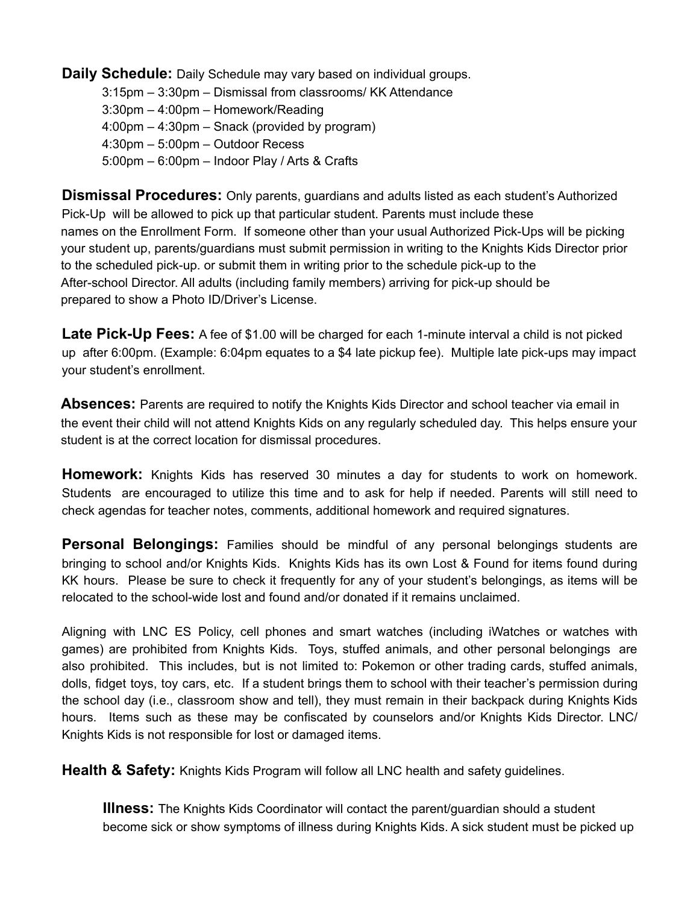**Daily Schedule:** Daily Schedule may vary based on individual groups.

3:15pm – 3:30pm – Dismissal from classrooms/ KK Attendance

3:30pm – 4:00pm – Homework/Reading

- 4:00pm 4:30pm Snack (provided by program)
- 4:30pm 5:00pm Outdoor Recess
- 5:00pm 6:00pm Indoor Play / Arts & Crafts

**Dismissal Procedures:** Only parents, guardians and adults listed as each student's Authorized Pick-Up will be allowed to pick up that particular student. Parents must include these names on the Enrollment Form. If someone other than your usual Authorized Pick-Ups will be picking your student up, parents/guardians must submit permission in writing to the Knights Kids Director prior to the scheduled pick-up. or submit them in writing prior to the schedule pick-up to the After-school Director. All adults (including family members) arriving for pick-up should be prepared to show a Photo ID/Driver's License.

**Late Pick-Up Fees:** A fee of \$1.00 will be charged for each 1-minute interval a child is not picked up after 6:00pm. (Example: 6:04pm equates to a \$4 late pickup fee). Multiple late pick-ups may impact your student's enrollment.

**Absences:** Parents are required to notify the Knights Kids Director and school teacher via email in the event their child will not attend Knights Kids on any regularly scheduled day. This helps ensure your student is at the correct location for dismissal procedures.

**Homework:** Knights Kids has reserved 30 minutes a day for students to work on homework. Students are encouraged to utilize this time and to ask for help if needed. Parents will still need to check agendas for teacher notes, comments, additional homework and required signatures.

**Personal Belongings:** Families should be mindful of any personal belongings students are bringing to school and/or Knights Kids. Knights Kids has its own Lost & Found for items found during KK hours. Please be sure to check it frequently for any of your student's belongings, as items will be relocated to the school-wide lost and found and/or donated if it remains unclaimed.

Aligning with LNC ES Policy, cell phones and smart watches (including iWatches or watches with games) are prohibited from Knights Kids. Toys, stuffed animals, and other personal belongings are also prohibited. This includes, but is not limited to: Pokemon or other trading cards, stuffed animals, dolls, fidget toys, toy cars, etc. If a student brings them to school with their teacher's permission during the school day (i.e., classroom show and tell), they must remain in their backpack during Knights Kids hours. Items such as these may be confiscated by counselors and/or Knights Kids Director. LNC/ Knights Kids is not responsible for lost or damaged items.

**Health & Safety:** Knights Kids Program will follow all LNC health and safety guidelines.

**Illness:** The Knights Kids Coordinator will contact the parent/guardian should a student become sick or show symptoms of illness during Knights Kids. A sick student must be picked up